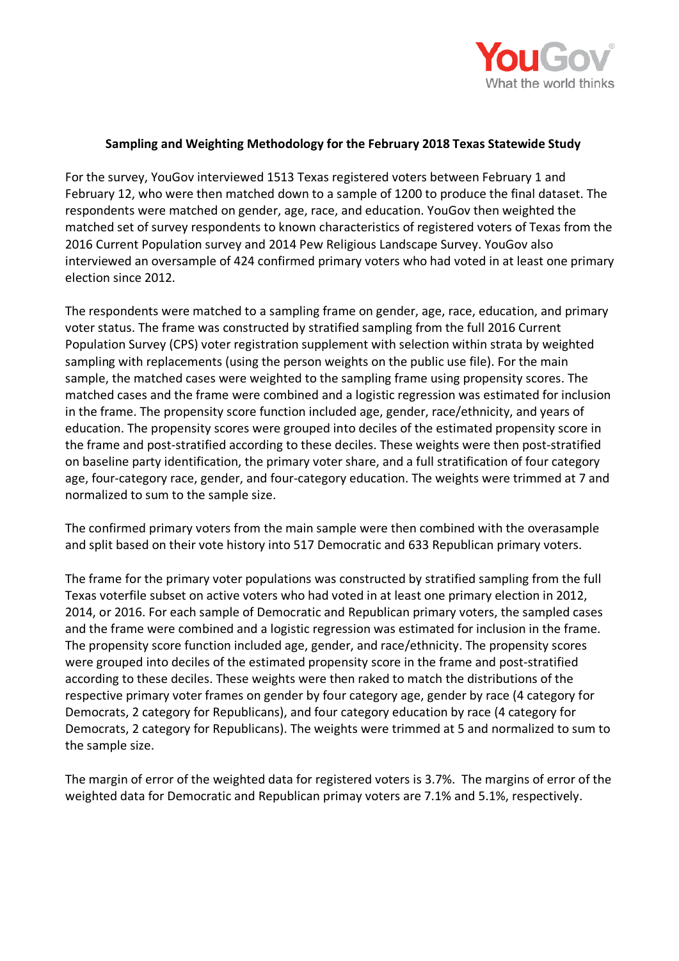

## **Sampling and Weighting Methodology for the February 2018 Texas Statewide Study**

For the survey, YouGov interviewed 1513 Texas registered voters between February 1 and February 12, who were then matched down to a sample of 1200 to produce the final dataset. The respondents were matched on gender, age, race, and education. YouGov then weighted the matched set of survey respondents to known characteristics of registered voters of Texas from the 2016 Current Population survey and 2014 Pew Religious Landscape Survey. YouGov also interviewed an oversample of 424 confirmed primary voters who had voted in at least one primary election since 2012.

The respondents were matched to a sampling frame on gender, age, race, education, and primary voter status. The frame was constructed by stratified sampling from the full 2016 Current Population Survey (CPS) voter registration supplement with selection within strata by weighted sampling with replacements (using the person weights on the public use file). For the main sample, the matched cases were weighted to the sampling frame using propensity scores. The matched cases and the frame were combined and a logistic regression was estimated for inclusion in the frame. The propensity score function included age, gender, race/ethnicity, and years of education. The propensity scores were grouped into deciles of the estimated propensity score in the frame and post-stratified according to these deciles. These weights were then post-stratified on baseline party identification, the primary voter share, and a full stratification of four category age, four-category race, gender, and four-category education. The weights were trimmed at 7 and normalized to sum to the sample size.

The confirmed primary voters from the main sample were then combined with the overasample and split based on their vote history into 517 Democratic and 633 Republican primary voters.

The frame for the primary voter populations was constructed by stratified sampling from the full Texas voterfile subset on active voters who had voted in at least one primary election in 2012, 2014, or 2016. For each sample of Democratic and Republican primary voters, the sampled cases and the frame were combined and a logistic regression was estimated for inclusion in the frame. The propensity score function included age, gender, and race/ethnicity. The propensity scores were grouped into deciles of the estimated propensity score in the frame and post-stratified according to these deciles. These weights were then raked to match the distributions of the respective primary voter frames on gender by four category age, gender by race (4 category for Democrats, 2 category for Republicans), and four category education by race (4 category for Democrats, 2 category for Republicans). The weights were trimmed at 5 and normalized to sum to the sample size.

The margin of error of the weighted data for registered voters is 3.7%. The margins of error of the weighted data for Democratic and Republican primay voters are 7.1% and 5.1%, respectively.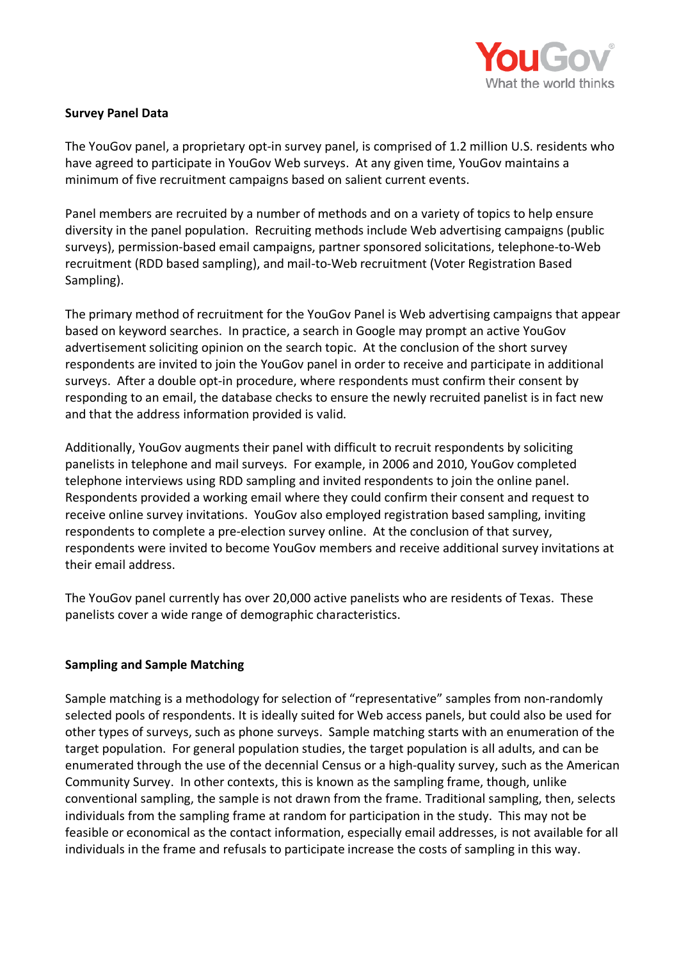

## **Survey Panel Data**

The YouGov panel, a proprietary opt-in survey panel, is comprised of 1.2 million U.S. residents who have agreed to participate in YouGov Web surveys. At any given time, YouGov maintains a minimum of five recruitment campaigns based on salient current events.

Panel members are recruited by a number of methods and on a variety of topics to help ensure diversity in the panel population. Recruiting methods include Web advertising campaigns (public surveys), permission-based email campaigns, partner sponsored solicitations, telephone-to-Web recruitment (RDD based sampling), and mail-to-Web recruitment (Voter Registration Based Sampling).

The primary method of recruitment for the YouGov Panel is Web advertising campaigns that appear based on keyword searches. In practice, a search in Google may prompt an active YouGov advertisement soliciting opinion on the search topic. At the conclusion of the short survey respondents are invited to join the YouGov panel in order to receive and participate in additional surveys. After a double opt-in procedure, where respondents must confirm their consent by responding to an email, the database checks to ensure the newly recruited panelist is in fact new and that the address information provided is valid.

Additionally, YouGov augments their panel with difficult to recruit respondents by soliciting panelists in telephone and mail surveys. For example, in 2006 and 2010, YouGov completed telephone interviews using RDD sampling and invited respondents to join the online panel. Respondents provided a working email where they could confirm their consent and request to receive online survey invitations. YouGov also employed registration based sampling, inviting respondents to complete a pre-election survey online. At the conclusion of that survey, respondents were invited to become YouGov members and receive additional survey invitations at their email address.

The YouGov panel currently has over 20,000 active panelists who are residents of Texas. These panelists cover a wide range of demographic characteristics.

## **Sampling and Sample Matching**

Sample matching is a methodology for selection of "representative" samples from non-randomly selected pools of respondents. It is ideally suited for Web access panels, but could also be used for other types of surveys, such as phone surveys. Sample matching starts with an enumeration of the target population. For general population studies, the target population is all adults, and can be enumerated through the use of the decennial Census or a high-quality survey, such as the American Community Survey. In other contexts, this is known as the sampling frame, though, unlike conventional sampling, the sample is not drawn from the frame. Traditional sampling, then, selects individuals from the sampling frame at random for participation in the study. This may not be feasible or economical as the contact information, especially email addresses, is not available for all individuals in the frame and refusals to participate increase the costs of sampling in this way.